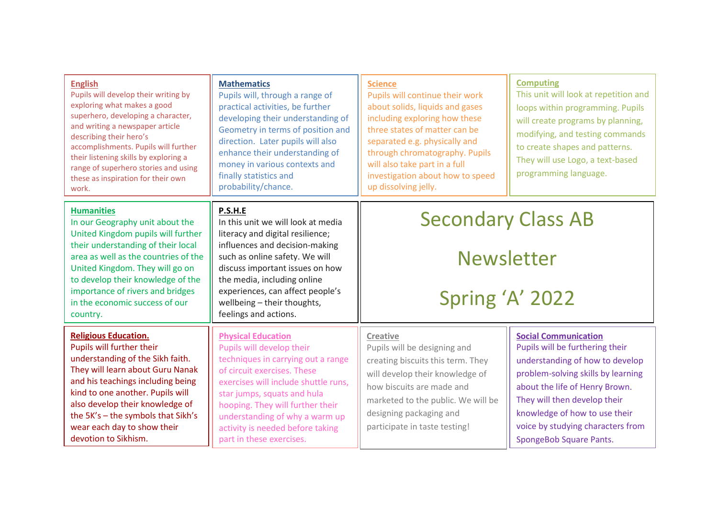| <b>English</b><br>Pupils will develop their writing by<br>exploring what makes a good<br>superhero, developing a character,<br>and writing a newspaper article<br>describing their hero's<br>accomplishments. Pupils will further<br>their listening skills by exploring a<br>range of superhero stories and using<br>these as inspiration for their own<br>work. | <b>Mathematics</b><br>Pupils will, through a range of<br>practical activities, be further<br>developing their understanding of<br>Geometry in terms of position and<br>direction. Later pupils will also<br>enhance their understanding of<br>money in various contexts and<br>finally statistics and<br>probability/chance.             | <b>Science</b><br>Pupils will continue their work<br>about solids, liquids and gases<br>including exploring how these<br>three states of matter can be<br>separated e.g. physically and<br>through chromatography. Pupils<br>will also take part in a full<br>investigation about how to speed<br>up dissolving jelly. | <b>Computing</b><br>This unit will look at repetition and<br>loops within programming. Pupils<br>will create programs by planning,<br>modifying, and testing commands<br>to create shapes and patterns.<br>They will use Logo, a text-based<br>programming language.                                       |
|-------------------------------------------------------------------------------------------------------------------------------------------------------------------------------------------------------------------------------------------------------------------------------------------------------------------------------------------------------------------|------------------------------------------------------------------------------------------------------------------------------------------------------------------------------------------------------------------------------------------------------------------------------------------------------------------------------------------|------------------------------------------------------------------------------------------------------------------------------------------------------------------------------------------------------------------------------------------------------------------------------------------------------------------------|------------------------------------------------------------------------------------------------------------------------------------------------------------------------------------------------------------------------------------------------------------------------------------------------------------|
| <b>Humanities</b><br>In our Geography unit about the<br>United Kingdom pupils will further<br>their understanding of their local<br>area as well as the countries of the<br>United Kingdom. They will go on<br>to develop their knowledge of the<br>importance of rivers and bridges<br>in the economic success of our<br>country.                                | P.S.H.E<br>In this unit we will look at media<br>literacy and digital resilience;<br>influences and decision-making<br>such as online safety. We will<br>discuss important issues on how<br>the media, including online<br>experiences, can affect people's<br>wellbeing - their thoughts,<br>feelings and actions.                      | <b>Secondary Class AB</b><br><b>Newsletter</b><br>Spring 'A' 2022                                                                                                                                                                                                                                                      |                                                                                                                                                                                                                                                                                                            |
| <b>Religious Education.</b><br>Pupils will further their<br>understanding of the Sikh faith.<br>They will learn about Guru Nanak<br>and his teachings including being<br>kind to one another. Pupils will<br>also develop their knowledge of<br>the 5K's - the symbols that Sikh's<br>wear each day to show their<br>devotion to Sikhism.                         | <b>Physical Education</b><br>Pupils will develop their<br>techniques in carrying out a range<br>of circuit exercises. These<br>exercises will include shuttle runs,<br>star jumps, squats and hula<br>hooping. They will further their<br>understanding of why a warm up<br>activity is needed before taking<br>part in these exercises. | <b>Creative</b><br>Pupils will be designing and<br>creating biscuits this term. They<br>will develop their knowledge of<br>how biscuits are made and<br>marketed to the public. We will be<br>designing packaging and<br>participate in taste testing!                                                                 | <b>Social Communication</b><br>Pupils will be furthering their<br>understanding of how to develop<br>problem-solving skills by learning<br>about the life of Henry Brown.<br>They will then develop their<br>knowledge of how to use their<br>voice by studying characters from<br>SpongeBob Square Pants. |